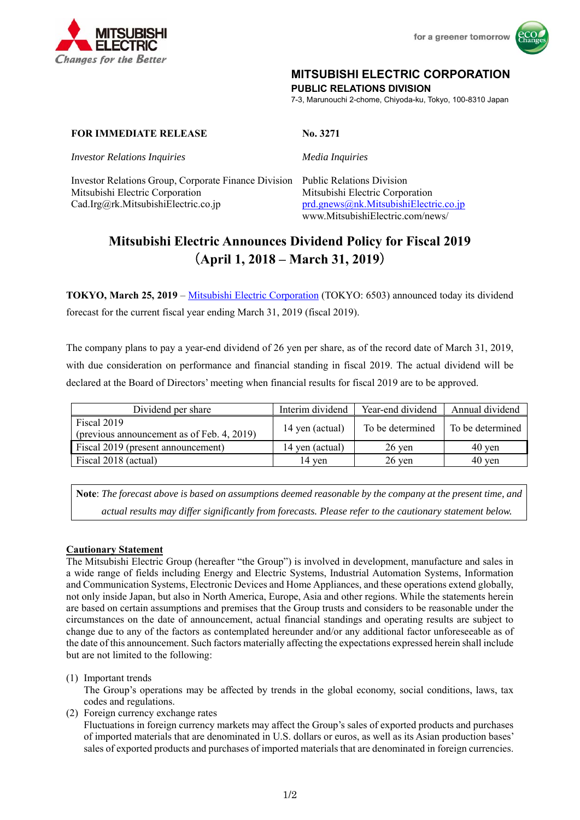



## **MITSUBISHI ELECTRIC CORPORATION**

**PUBLIC RELATIONS DIVISION** 

7-3, Marunouchi 2-chome, Chiyoda-ku, Tokyo, 100-8310 Japan

## **FOR IMMEDIATE RELEASE** No. 3271

*Investor Relations Inquiries Media Inquiries*

Investor Relations Group, Corporate Finance Division Public Relations Division Mitsubishi Electric Corporation Mitsubishi Electric Corporation Cad.Irg@rk.MitsubishiElectric.co.jp prd.gnews@nk.MitsubishiElectric.co.jp

www.MitsubishiElectric.com/news/

# **Mitsubishi Electric Announces Dividend Policy for Fiscal 2019**  (**April 1, 2018 – March 31, 2019**)

**TOKYO, March 25, 2019** – Mitsubishi Electric Corporation (TOKYO: 6503) announced today its dividend forecast for the current fiscal year ending March 31, 2019 (fiscal 2019).

The company plans to pay a year-end dividend of 26 yen per share, as of the record date of March 31, 2019, with due consideration on performance and financial standing in fiscal 2019. The actual dividend will be declared at the Board of Directors' meeting when financial results for fiscal 2019 are to be approved.

| Dividend per share                                        | Interim dividend | Year-end dividend | Annual dividend     |
|-----------------------------------------------------------|------------------|-------------------|---------------------|
| Fiscal 2019<br>(previous announcement as of Feb. 4, 2019) | 14 yen (actual)  | To be determined  | l To be determined  |
| Fiscal 2019 (present announcement)                        | 14 yen (actual)  | $26 \text{ ven}$  | $40 \text{ ven}$    |
| Fiscal 2018 (actual)                                      | 14 ven           | $26 \text{$ }     | $40 \,\mathrm{ven}$ |

**Note**: *The forecast above is based on assumptions deemed reasonable by the company at the present time, and actual results may differ significantly from forecasts. Please refer to the cautionary statement below.* 

## **Cautionary Statement**

The Mitsubishi Electric Group (hereafter "the Group") is involved in development, manufacture and sales in a wide range of fields including Energy and Electric Systems, Industrial Automation Systems, Information and Communication Systems, Electronic Devices and Home Appliances, and these operations extend globally, not only inside Japan, but also in North America, Europe, Asia and other regions. While the statements herein are based on certain assumptions and premises that the Group trusts and considers to be reasonable under the circumstances on the date of announcement, actual financial standings and operating results are subject to change due to any of the factors as contemplated hereunder and/or any additional factor unforeseeable as of the date of this announcement. Such factors materially affecting the expectations expressed herein shall include but are not limited to the following:

(1) Important trends

The Group's operations may be affected by trends in the global economy, social conditions, laws, tax codes and regulations.

(2) Foreign currency exchange rates

Fluctuations in foreign currency markets may affect the Group's sales of exported products and purchases of imported materials that are denominated in U.S. dollars or euros, as well as its Asian production bases' sales of exported products and purchases of imported materials that are denominated in foreign currencies.